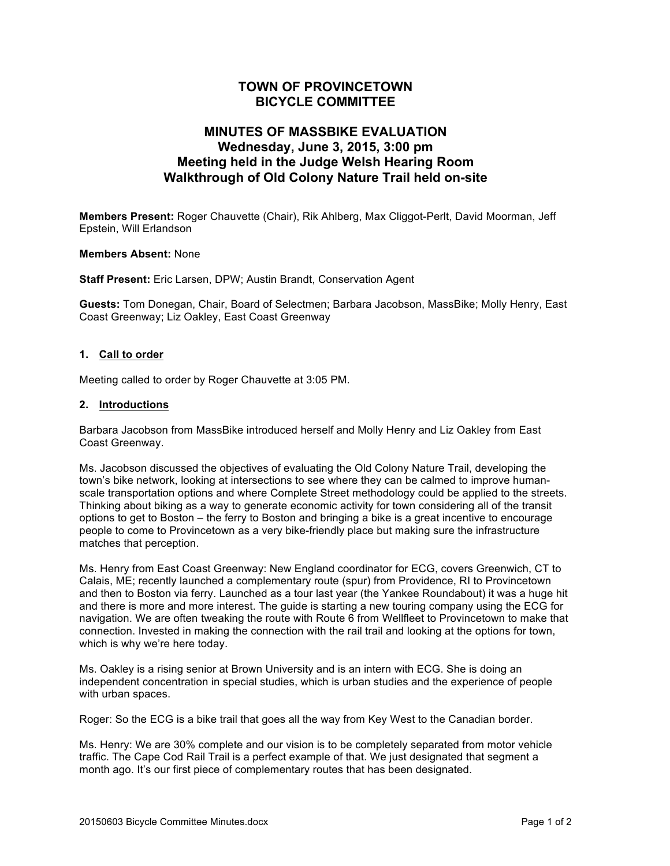# **TOWN OF PROVINCETOWN BICYCLE COMMITTEE**

# **MINUTES OF MASSBIKE EVALUATION Wednesday, June 3, 2015, 3:00 pm Meeting held in the Judge Welsh Hearing Room Walkthrough of Old Colony Nature Trail held on-site**

**Members Present:** Roger Chauvette (Chair), Rik Ahlberg, Max Cliggot-Perlt, David Moorman, Jeff Epstein, Will Erlandson

### **Members Absent:** None

**Staff Present:** Eric Larsen, DPW; Austin Brandt, Conservation Agent

**Guests:** Tom Donegan, Chair, Board of Selectmen; Barbara Jacobson, MassBike; Molly Henry, East Coast Greenway; Liz Oakley, East Coast Greenway

### **1. Call to order**

Meeting called to order by Roger Chauvette at 3:05 PM.

#### **2. Introductions**

Barbara Jacobson from MassBike introduced herself and Molly Henry and Liz Oakley from East Coast Greenway.

Ms. Jacobson discussed the objectives of evaluating the Old Colony Nature Trail, developing the town's bike network, looking at intersections to see where they can be calmed to improve humanscale transportation options and where Complete Street methodology could be applied to the streets. Thinking about biking as a way to generate economic activity for town considering all of the transit options to get to Boston – the ferry to Boston and bringing a bike is a great incentive to encourage people to come to Provincetown as a very bike-friendly place but making sure the infrastructure matches that perception.

Ms. Henry from East Coast Greenway: New England coordinator for ECG, covers Greenwich, CT to Calais, ME; recently launched a complementary route (spur) from Providence, RI to Provincetown and then to Boston via ferry. Launched as a tour last year (the Yankee Roundabout) it was a huge hit and there is more and more interest. The guide is starting a new touring company using the ECG for navigation. We are often tweaking the route with Route 6 from Wellfleet to Provincetown to make that connection. Invested in making the connection with the rail trail and looking at the options for town, which is why we're here today.

Ms. Oakley is a rising senior at Brown University and is an intern with ECG. She is doing an independent concentration in special studies, which is urban studies and the experience of people with urban spaces.

Roger: So the ECG is a bike trail that goes all the way from Key West to the Canadian border.

Ms. Henry: We are 30% complete and our vision is to be completely separated from motor vehicle traffic. The Cape Cod Rail Trail is a perfect example of that. We just designated that segment a month ago. It's our first piece of complementary routes that has been designated.